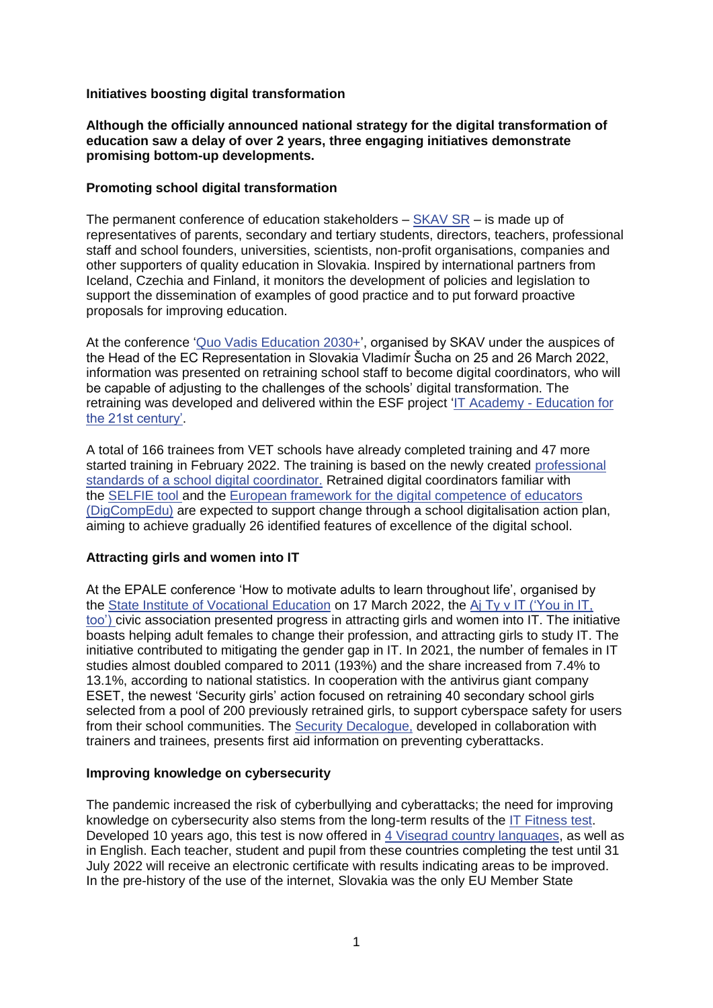## **Initiatives boosting digital transformation**

# **Although the officially announced national strategy for the digital transformation of education saw a delay of over 2 years, three engaging initiatives demonstrate promising bottom-up developments.**

### **Promoting school digital transformation**

The permanent conference of education stakeholders – [SKAV SR](https://kvalitneskolstvo.sk/skav/) – is made up of representatives of parents, secondary and tertiary students, directors, teachers, professional staff and school founders, universities, scientists, non-profit organisations, companies and other supporters of quality education in Slovakia. Inspired by international partners from Iceland, Czechia and Finland, it monitors the development of policies and legislation to support the dissemination of examples of good practice and to put forward proactive proposals for improving education.

At the conference ['Quo Vadis Education 2030+'](https://partnerstvoprevzdelavanie2030.skav.sk/#/s/archive), organised by SKAV under the auspices of the Head of the EC Representation in Slovakia Vladimír Šucha on 25 and 26 March 2022, information was presented on retraining school staff to become digital coordinators, who will be capable of adjusting to the challenges of the schools' digital transformation. The retraining was developed and delivered within the ESF project 'IT Academy - [Education for](https://itakademia.sk/)  [the 21st century'.](https://itakademia.sk/)

A total of 166 trainees from VET schools have already completed training and 47 more started training in February 2022. The training is based on the newly created [professional](https://itakademia.sk/wp-content/uploads/2021/04/Kompetencie-a-u%CC%81lohy_Digita%CC%81lny-koordina%CC%81tor-s%CC%8Ckoly_web.pdf)  [standards of a school digital coordinator.](https://itakademia.sk/wp-content/uploads/2021/04/Kompetencie-a-u%CC%81lohy_Digita%CC%81lny-koordina%CC%81tor-s%CC%8Ckoly_web.pdf) Retrained digital coordinators familiar with the [SELFIE tool](https://joint-research-centre.ec.europa.eu/digcompedu_en) and the [European framework for the digital competence of educators](https://joint-research-centre.ec.europa.eu/digcompedu_en)  [\(DigCompEdu\)](https://joint-research-centre.ec.europa.eu/digcompedu_en) are expected to support change through a school digitalisation action plan, aiming to achieve gradually 26 identified features of excellence of the digital school.

# **Attracting girls and women into IT**

At the EPALE conference 'How to motivate adults to learn throughout life', organised by the [State Institute of Vocational Education](https://siov.sk/) on 17 March 2022, the [Aj Ty v IT \('You in IT,](https://ajtyvit.sk/)  [too'\)](https://ajtyvit.sk/) civic association presented progress in attracting girls and women into IT. The initiative boasts helping adult females to change their profession, and attracting girls to study IT. The initiative contributed to mitigating the gender gap in IT. In 2021, the number of females in IT studies almost doubled compared to 2011 (193%) and the share increased from 7.4% to 13.1%, according to national statistics. In cooperation with the antivirus giant company ESET, the newest 'Security girls' action focused on retraining 40 secondary school girls selected from a pool of 200 previously retrained girls, to support cyberspace safety for users from their school communities. The [Security Decalogue,](https://ajtyvit.sk/security-girl/) developed in collaboration with trainers and trainees, presents first aid information on preventing cyberattacks.

#### **Improving knowledge on cybersecurity**

The pandemic increased the risk of cyberbullying and cyberattacks; the need for improving knowledge on cybersecurity also stems from the long-term results of the [IT Fitness test.](https://itfitness.sk/) Developed 10 years ago, this test is now offered in [4 Visegrad country languages,](https://itfitness.eu/) as well as in English. Each teacher, student and pupil from these countries completing the test until 31 July 2022 will receive an electronic certificate with results indicating areas to be improved. In the pre-history of the use of the internet, Slovakia was the only EU Member State